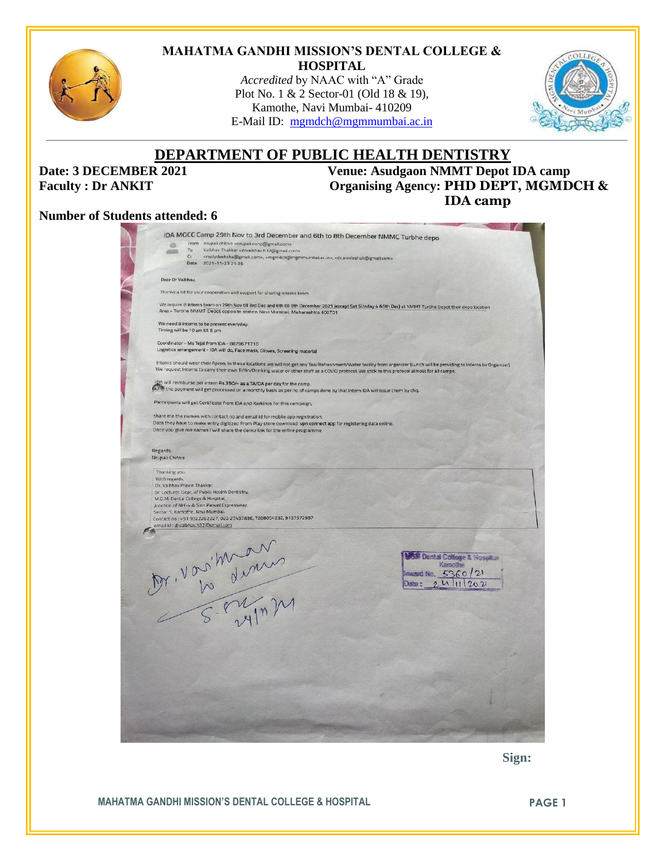

#### **MAHATMA GANDHI MISSION'S DENTAL COLLEGE & HOSPITAL**

*Accredited* by NAAC with "A" Grade Plot No. 1 & 2 Sector-01 (Old 18 & 19), Kamothe, Navi Mumbai- 410209 E-Mail ID: [mgmdch@mgmmumbai.ac.in](mailto:mgmdch@mgmmumbai.ac.in)



## **DEPARTMENT OF PUBLIC HEALTH DENTISTRY**

**Date: 3 DECEMBER 2021 Venue: Asudgaon NMMT Depot IDA camp Faculty : Dr ANKIT Organising Agency: PHD DEPT, MGMDCH & IDA camp** 

#### **Number of Students attended: 6**

| From nrupali chitnis <nrupali.nohp@gmail.com><br/>®<br/>Vaibhav Thakkar <drvaibhav.h32@gmail.com><br/>To<br/>4949<br/>Cc<br/><replydeeksha@gmail.com>, <mgmdch@mgmmumbai.ac.in>, <dr.ankitrshah@gmail.com><br/>Date<br/>2021-11-23 21:36<br/>Dear Dr Valbhav.<br/>Thanks a lot for your cooperation and support for sharing Interns team<br/>We require 8 interns team on 29th Nov till 3rd Dec and 6th till 8th December 2021 (except Sat SUnday 4 &amp;5th Dec) at NMMT Turbhe Depot their depo location<br/>Area - Turbhe NMMT Depot opposite station Navi Mumbai, Maharashtra 400701<br/>We need 8 interns to be present everyday.<br/>Timing will be 10 am till 6 pm<br/>Coordinator - Ms Tejal from IDA - 8879671710<br/>Logistics arrangement - IDA will do, Face mask, Gloves, Screening material<br/>Interns should wear their Apron, In these locations we will not get any Tea/Refreshment/Water facility from organizer (Lunch will be providing to Interns by Organizer)<br/>We request interns to carry their own Tiffin/Drinking water or other stuff as a COVID protocol. We stick to this protocol almost for all camps.<br/>IDA will reimburse per intern Rs.350/- as a TA/DA per day for the camp.<br/>(a,Fo) the payment will get processed on a monthly basis as per no of camps done by that Intern IDA will issue them by chq.<br/>Participants will get Certificate from IDA and Karkinos for this campaign,<br/>share me the names with contact no and email id for mobile app registration.<br/>Data they have to make entry digitized From Play store download vpn connect app for registering data online.<br/>Once you give me names I will share the demo link for the entire programme<br/>Regards,<br/>Nrupali Chitnis<br/>Thanking you.<br/>With regards,<br/>Dr. Vaibhav Pravin Thakkar,<br/>Sr. Lecturer, Dept. of Public Health Dentistry,<br/>M.G.M. Dental College &amp; Hospital,<br/>Junction of NH-4 &amp; Sion Panvel Expressway.<br/>Sector 1, Kamothe, Navi Mumbai.<br/>Contact no: +91 9322262227, 022 27437836, 7208004232, 9137572987<br/>email id : drvaibhav.h32@gmail.com<br/>M. Vorituan<br/><b>GM Dental College &amp; Hosphan</b><br/>Kampthe<br/>Inward No. 5360/21<br/>0.411202<br/>Date -</dr.ankitrshah@gmail.com></mgmdch@mgmmumbai.ac.in></replydeeksha@gmail.com></drvaibhav.h32@gmail.com></nrupali.nohp@gmail.com> |  | IDA MOCC Camp 29th Nov to 3rd December and 6th to 8th December NMMC Turbhe depo |  |
|----------------------------------------------------------------------------------------------------------------------------------------------------------------------------------------------------------------------------------------------------------------------------------------------------------------------------------------------------------------------------------------------------------------------------------------------------------------------------------------------------------------------------------------------------------------------------------------------------------------------------------------------------------------------------------------------------------------------------------------------------------------------------------------------------------------------------------------------------------------------------------------------------------------------------------------------------------------------------------------------------------------------------------------------------------------------------------------------------------------------------------------------------------------------------------------------------------------------------------------------------------------------------------------------------------------------------------------------------------------------------------------------------------------------------------------------------------------------------------------------------------------------------------------------------------------------------------------------------------------------------------------------------------------------------------------------------------------------------------------------------------------------------------------------------------------------------------------------------------------------------------------------------------------------------------------------------------------------------------------------------------------------------------------------------------------------------------------------------------------------------------------------------------------------------------------------------------------------------------------------------------------------------------------------------------------------------------------------------------------------------------|--|---------------------------------------------------------------------------------|--|
|                                                                                                                                                                                                                                                                                                                                                                                                                                                                                                                                                                                                                                                                                                                                                                                                                                                                                                                                                                                                                                                                                                                                                                                                                                                                                                                                                                                                                                                                                                                                                                                                                                                                                                                                                                                                                                                                                                                                                                                                                                                                                                                                                                                                                                                                                                                                                                                  |  |                                                                                 |  |
|                                                                                                                                                                                                                                                                                                                                                                                                                                                                                                                                                                                                                                                                                                                                                                                                                                                                                                                                                                                                                                                                                                                                                                                                                                                                                                                                                                                                                                                                                                                                                                                                                                                                                                                                                                                                                                                                                                                                                                                                                                                                                                                                                                                                                                                                                                                                                                                  |  |                                                                                 |  |
|                                                                                                                                                                                                                                                                                                                                                                                                                                                                                                                                                                                                                                                                                                                                                                                                                                                                                                                                                                                                                                                                                                                                                                                                                                                                                                                                                                                                                                                                                                                                                                                                                                                                                                                                                                                                                                                                                                                                                                                                                                                                                                                                                                                                                                                                                                                                                                                  |  |                                                                                 |  |
|                                                                                                                                                                                                                                                                                                                                                                                                                                                                                                                                                                                                                                                                                                                                                                                                                                                                                                                                                                                                                                                                                                                                                                                                                                                                                                                                                                                                                                                                                                                                                                                                                                                                                                                                                                                                                                                                                                                                                                                                                                                                                                                                                                                                                                                                                                                                                                                  |  |                                                                                 |  |
|                                                                                                                                                                                                                                                                                                                                                                                                                                                                                                                                                                                                                                                                                                                                                                                                                                                                                                                                                                                                                                                                                                                                                                                                                                                                                                                                                                                                                                                                                                                                                                                                                                                                                                                                                                                                                                                                                                                                                                                                                                                                                                                                                                                                                                                                                                                                                                                  |  |                                                                                 |  |
|                                                                                                                                                                                                                                                                                                                                                                                                                                                                                                                                                                                                                                                                                                                                                                                                                                                                                                                                                                                                                                                                                                                                                                                                                                                                                                                                                                                                                                                                                                                                                                                                                                                                                                                                                                                                                                                                                                                                                                                                                                                                                                                                                                                                                                                                                                                                                                                  |  |                                                                                 |  |
|                                                                                                                                                                                                                                                                                                                                                                                                                                                                                                                                                                                                                                                                                                                                                                                                                                                                                                                                                                                                                                                                                                                                                                                                                                                                                                                                                                                                                                                                                                                                                                                                                                                                                                                                                                                                                                                                                                                                                                                                                                                                                                                                                                                                                                                                                                                                                                                  |  |                                                                                 |  |
|                                                                                                                                                                                                                                                                                                                                                                                                                                                                                                                                                                                                                                                                                                                                                                                                                                                                                                                                                                                                                                                                                                                                                                                                                                                                                                                                                                                                                                                                                                                                                                                                                                                                                                                                                                                                                                                                                                                                                                                                                                                                                                                                                                                                                                                                                                                                                                                  |  |                                                                                 |  |
|                                                                                                                                                                                                                                                                                                                                                                                                                                                                                                                                                                                                                                                                                                                                                                                                                                                                                                                                                                                                                                                                                                                                                                                                                                                                                                                                                                                                                                                                                                                                                                                                                                                                                                                                                                                                                                                                                                                                                                                                                                                                                                                                                                                                                                                                                                                                                                                  |  |                                                                                 |  |
|                                                                                                                                                                                                                                                                                                                                                                                                                                                                                                                                                                                                                                                                                                                                                                                                                                                                                                                                                                                                                                                                                                                                                                                                                                                                                                                                                                                                                                                                                                                                                                                                                                                                                                                                                                                                                                                                                                                                                                                                                                                                                                                                                                                                                                                                                                                                                                                  |  |                                                                                 |  |
|                                                                                                                                                                                                                                                                                                                                                                                                                                                                                                                                                                                                                                                                                                                                                                                                                                                                                                                                                                                                                                                                                                                                                                                                                                                                                                                                                                                                                                                                                                                                                                                                                                                                                                                                                                                                                                                                                                                                                                                                                                                                                                                                                                                                                                                                                                                                                                                  |  |                                                                                 |  |
|                                                                                                                                                                                                                                                                                                                                                                                                                                                                                                                                                                                                                                                                                                                                                                                                                                                                                                                                                                                                                                                                                                                                                                                                                                                                                                                                                                                                                                                                                                                                                                                                                                                                                                                                                                                                                                                                                                                                                                                                                                                                                                                                                                                                                                                                                                                                                                                  |  |                                                                                 |  |
|                                                                                                                                                                                                                                                                                                                                                                                                                                                                                                                                                                                                                                                                                                                                                                                                                                                                                                                                                                                                                                                                                                                                                                                                                                                                                                                                                                                                                                                                                                                                                                                                                                                                                                                                                                                                                                                                                                                                                                                                                                                                                                                                                                                                                                                                                                                                                                                  |  |                                                                                 |  |
|                                                                                                                                                                                                                                                                                                                                                                                                                                                                                                                                                                                                                                                                                                                                                                                                                                                                                                                                                                                                                                                                                                                                                                                                                                                                                                                                                                                                                                                                                                                                                                                                                                                                                                                                                                                                                                                                                                                                                                                                                                                                                                                                                                                                                                                                                                                                                                                  |  |                                                                                 |  |
|                                                                                                                                                                                                                                                                                                                                                                                                                                                                                                                                                                                                                                                                                                                                                                                                                                                                                                                                                                                                                                                                                                                                                                                                                                                                                                                                                                                                                                                                                                                                                                                                                                                                                                                                                                                                                                                                                                                                                                                                                                                                                                                                                                                                                                                                                                                                                                                  |  |                                                                                 |  |
|                                                                                                                                                                                                                                                                                                                                                                                                                                                                                                                                                                                                                                                                                                                                                                                                                                                                                                                                                                                                                                                                                                                                                                                                                                                                                                                                                                                                                                                                                                                                                                                                                                                                                                                                                                                                                                                                                                                                                                                                                                                                                                                                                                                                                                                                                                                                                                                  |  |                                                                                 |  |
|                                                                                                                                                                                                                                                                                                                                                                                                                                                                                                                                                                                                                                                                                                                                                                                                                                                                                                                                                                                                                                                                                                                                                                                                                                                                                                                                                                                                                                                                                                                                                                                                                                                                                                                                                                                                                                                                                                                                                                                                                                                                                                                                                                                                                                                                                                                                                                                  |  |                                                                                 |  |
|                                                                                                                                                                                                                                                                                                                                                                                                                                                                                                                                                                                                                                                                                                                                                                                                                                                                                                                                                                                                                                                                                                                                                                                                                                                                                                                                                                                                                                                                                                                                                                                                                                                                                                                                                                                                                                                                                                                                                                                                                                                                                                                                                                                                                                                                                                                                                                                  |  |                                                                                 |  |
|                                                                                                                                                                                                                                                                                                                                                                                                                                                                                                                                                                                                                                                                                                                                                                                                                                                                                                                                                                                                                                                                                                                                                                                                                                                                                                                                                                                                                                                                                                                                                                                                                                                                                                                                                                                                                                                                                                                                                                                                                                                                                                                                                                                                                                                                                                                                                                                  |  |                                                                                 |  |
|                                                                                                                                                                                                                                                                                                                                                                                                                                                                                                                                                                                                                                                                                                                                                                                                                                                                                                                                                                                                                                                                                                                                                                                                                                                                                                                                                                                                                                                                                                                                                                                                                                                                                                                                                                                                                                                                                                                                                                                                                                                                                                                                                                                                                                                                                                                                                                                  |  |                                                                                 |  |
|                                                                                                                                                                                                                                                                                                                                                                                                                                                                                                                                                                                                                                                                                                                                                                                                                                                                                                                                                                                                                                                                                                                                                                                                                                                                                                                                                                                                                                                                                                                                                                                                                                                                                                                                                                                                                                                                                                                                                                                                                                                                                                                                                                                                                                                                                                                                                                                  |  |                                                                                 |  |

 **Sign:**

**MAHATMA GANDHI MISSION'S DENTAL COLLEGE & HOSPITAL PAGE 1**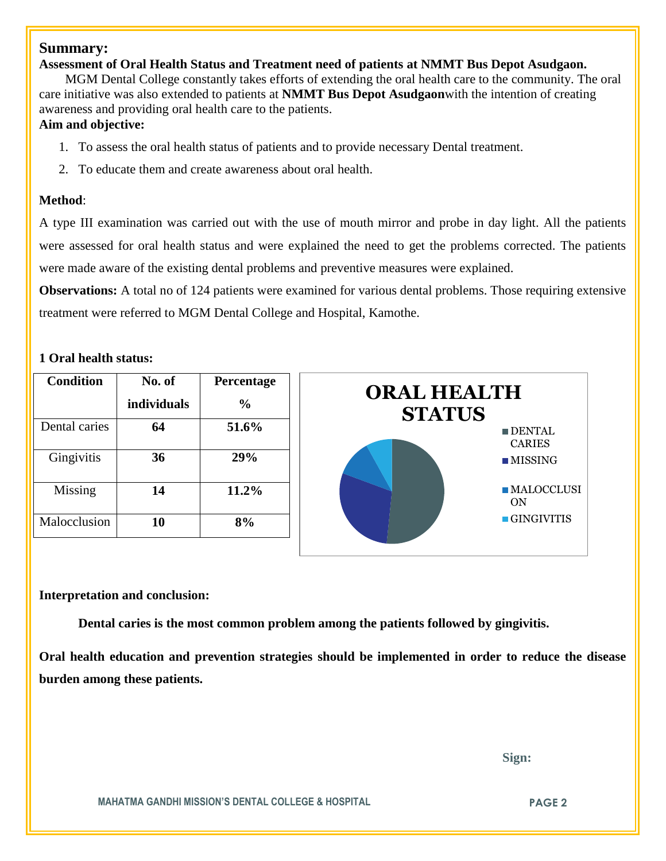#### **Summary:**

#### **Assessment of Oral Health Status and Treatment need of patients at NMMT Bus Depot Asudgaon.**

 MGM Dental College constantly takes efforts of extending the oral health care to the community. The oral care initiative was also extended to patients at **NMMT Bus Depot Asudgaon**with the intention of creating awareness and providing oral health care to the patients.

### **Aim and objective:**

- 1. To assess the oral health status of patients and to provide necessary Dental treatment.
- 2. To educate them and create awareness about oral health.

#### **Method**:

A type III examination was carried out with the use of mouth mirror and probe in day light. All the patients were assessed for oral health status and were explained the need to get the problems corrected. The patients were made aware of the existing dental problems and preventive measures were explained.

**Observations:** A total no of 124 patients were examined for various dental problems. Those requiring extensive treatment were referred to MGM Dental College and Hospital, Kamothe.

#### **1 Oral health status:**

| <b>Condition</b> | No. of<br>individuals | Percentage<br>$\frac{0}{0}$ | <b>ORAL HEALTH</b><br><b>STATUS</b> |
|------------------|-----------------------|-----------------------------|-------------------------------------|
| Dental caries    | 64                    | 51.6%                       | $\blacksquare$ DF<br><b>CA</b>      |
| Gingivitis       | 36                    | 29%                         | $\blacksquare$ MI                   |
| Missing          | 14                    | 11.2%                       | $\blacksquare M$<br>O <sub>N</sub>  |
| Malocclusion     | 10                    | 8%                          | $\blacksquare$ GI                   |



#### **Interpretation and conclusion:**

**Dental caries is the most common problem among the patients followed by gingivitis.**

**Oral health education and prevention strategies should be implemented in order to reduce the disease burden among these patients.**

 **Sign:**

DENTAL CARIES

ON

**MAHATMA GANDHI MISSION'S DENTAL COLLEGE & HOSPITAL PAGE 2**